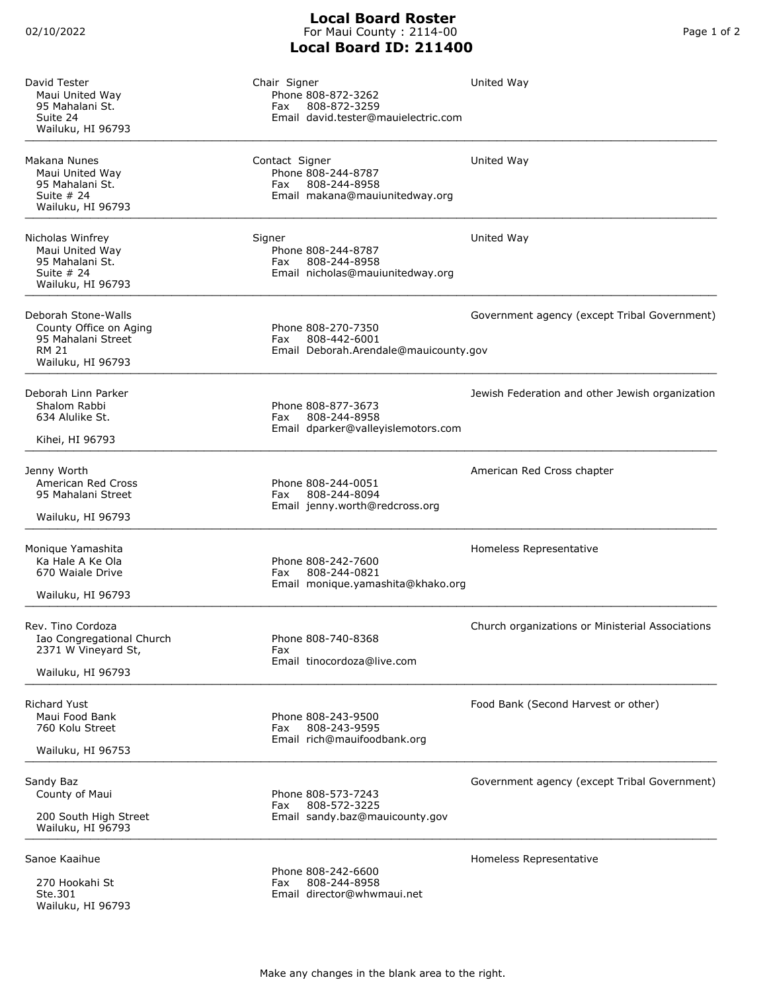## **Local Board Roster** For Maui County : 2114-00 **Local Board ID: 211400**

| David Tester<br>Maui United Way<br>95 Mahalani St.<br>Suite 24<br>Wailuku, HI 96793                      | Chair Signer<br>Phone 808-872-3262<br>808-872-3259<br>Fax<br>Email david.tester@mauielectric.com | United Way                                       |
|----------------------------------------------------------------------------------------------------------|--------------------------------------------------------------------------------------------------|--------------------------------------------------|
| Makana Nunes<br>Maui United Way<br>95 Mahalani St.<br>Suite $#24$<br>Wailuku, HI 96793                   | Contact Signer<br>Phone 808-244-8787<br>808-244-8958<br>Fax<br>Email makana@mauiunitedway.org    | United Way                                       |
| Nicholas Winfrey<br>Maui United Way<br>95 Mahalani St.<br>Suite $#24$<br>Wailuku, HI 96793               | Signer<br>Phone 808-244-8787<br>808-244-8958<br>Fax<br>Email nicholas@mauiunitedway.org          | United Way                                       |
| Deborah Stone-Walls<br>County Office on Aging<br>95 Mahalani Street<br><b>RM 21</b><br>Wailuku, HI 96793 | Phone 808-270-7350<br>808-442-6001<br>Fax<br>Email Deborah.Arendale@mauicounty.gov               | Government agency (except Tribal Government)     |
| Deborah Linn Parker<br>Shalom Rabbi<br>634 Alulike St.<br>Kihei, HI 96793                                | Phone 808-877-3673<br>808-244-8958<br>Fax<br>Email dparker@valleyislemotors.com                  | Jewish Federation and other Jewish organization  |
| Jenny Worth<br>American Red Cross<br>95 Mahalani Street<br>Wailuku, HI 96793                             | Phone 808-244-0051<br>808-244-8094<br>Fax<br>Email jenny.worth@redcross.org                      | American Red Cross chapter                       |
| Monique Yamashita<br>Ka Hale A Ke Ola<br>670 Waiale Drive<br>Wailuku, HI 96793                           | Phone 808-242-7600<br>808-244-0821<br>Fax<br>Email monique.yamashita@khako.org                   | Homeless Representative                          |
| Rev. Tino Cordoza<br>Iao Congregational Church<br>2371 W Vineyard St,<br>Wailuku, HI 96793               | Phone 808-740-8368<br>Fax<br>Email tinocordoza@live.com                                          | Church organizations or Ministerial Associations |
| <b>Richard Yust</b><br>Maui Food Bank<br>760 Kolu Street<br>Wailuku, HI 96753                            | Phone 808-243-9500<br>808-243-9595<br>Fax<br>Email rich@mauifoodbank.org                         | Food Bank (Second Harvest or other)              |
| Sandy Baz<br>County of Maui<br>200 South High Street<br>Wailuku, HI 96793                                | Phone 808-573-7243<br>808-572-3225<br>Fax<br>Email sandy.baz@mauicounty.gov                      | Government agency (except Tribal Government)     |
| Sanoe Kaaihue<br>270 Hookahi St<br>Ste.301<br>Wailuku, HI 96793                                          | Phone 808-242-6600<br>808-244-8958<br>Fax<br>Email director@whwmaui.net                          | Homeless Representative                          |